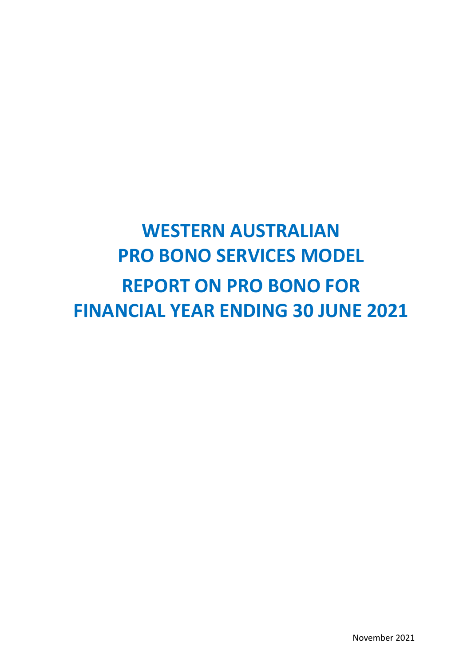# **WESTERN AUSTRALIAN PRO BONO SERVICES MODEL REPORT ON PRO BONO FOR FINANCIAL YEAR ENDING 30 JUNE 2021**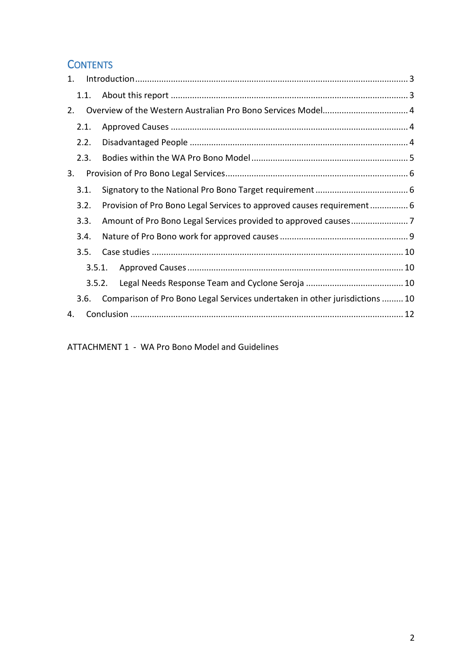### **CONTENTS**

| 1. |        |                                                                             |  |
|----|--------|-----------------------------------------------------------------------------|--|
|    | 1.1.   |                                                                             |  |
| 2. |        |                                                                             |  |
|    | 2.1.   |                                                                             |  |
|    | 2.2.   |                                                                             |  |
|    | 2.3.   |                                                                             |  |
| 3. |        |                                                                             |  |
|    | 3.1.   |                                                                             |  |
|    | 3.2.   | Provision of Pro Bono Legal Services to approved causes requirement 6       |  |
|    | 3.3.   |                                                                             |  |
|    | 3.4.   |                                                                             |  |
|    | 3.5.   |                                                                             |  |
|    | 3.5.1. |                                                                             |  |
|    | 3.5.2. |                                                                             |  |
|    | 3.6.   | Comparison of Pro Bono Legal Services undertaken in other jurisdictions  10 |  |
| 4. |        |                                                                             |  |

ATTACHMENT 1 - WA Pro Bono Model and Guidelines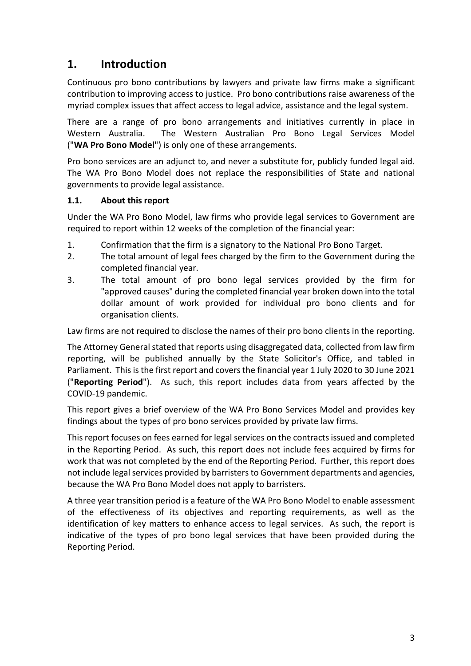## <span id="page-2-0"></span>**1. Introduction**

Continuous pro bono contributions by lawyers and private law firms make a significant contribution to improving access to justice. Pro bono contributions raise awareness of the myriad complex issues that affect access to legal advice, assistance and the legal system.

There are a range of pro bono arrangements and initiatives currently in place in Western Australia. The Western Australian Pro Bono Legal Services Model ("**WA Pro Bono Model**") is only one of these arrangements.

Pro bono services are an adjunct to, and never a substitute for, publicly funded legal aid. The WA Pro Bono Model does not replace the responsibilities of State and national governments to provide legal assistance.

#### <span id="page-2-1"></span>**1.1. About this report**

Under the WA Pro Bono Model, law firms who provide legal services to Government are required to report within 12 weeks of the completion of the financial year:

- 1. Confirmation that the firm is a signatory to the National Pro Bono Target.
- 2. The total amount of legal fees charged by the firm to the Government during the completed financial year.
- 3. The total amount of pro bono legal services provided by the firm for "approved causes" during the completed financial year broken down into the total dollar amount of work provided for individual pro bono clients and for organisation clients.

Law firms are not required to disclose the names of their pro bono clients in the reporting.

The Attorney General stated that reports using disaggregated data, collected from law firm reporting, will be published annually by the State Solicitor's Office, and tabled in Parliament. This is the first report and covers the financial year 1 July 2020 to 30 June 2021 ("**Reporting Period**"). As such, this report includes data from years affected by the COVID-19 pandemic.

This report gives a brief overview of the WA Pro Bono Services Model and provides key findings about the types of pro bono services provided by private law firms.

This report focuses on fees earned for legal services on the contracts issued and completed in the Reporting Period. As such, this report does not include fees acquired by firms for work that was not completed by the end of the Reporting Period. Further, this report does not include legal services provided by barristers to Government departments and agencies, because the WA Pro Bono Model does not apply to barristers.

A three year transition period is a feature of the WA Pro Bono Model to enable assessment of the effectiveness of its objectives and reporting requirements, as well as the identification of key matters to enhance access to legal services. As such, the report is indicative of the types of pro bono legal services that have been provided during the Reporting Period.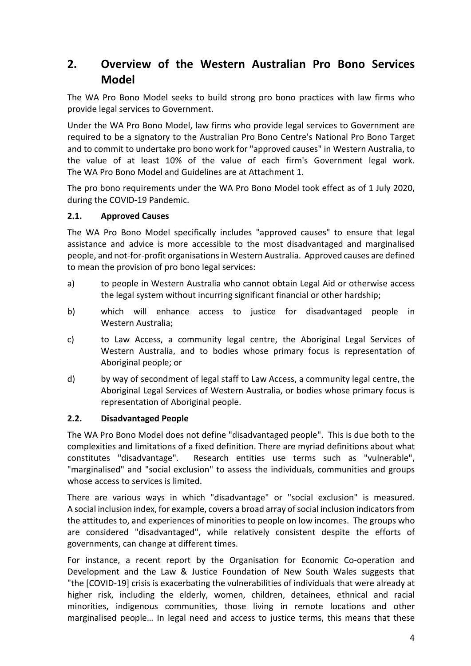# <span id="page-3-0"></span>**2. Overview of the Western Australian Pro Bono Services Model**

The WA Pro Bono Model seeks to build strong pro bono practices with law firms who provide legal services to Government.

Under the WA Pro Bono Model, law firms who provide legal services to Government are required to be a signatory to the Australian Pro Bono Centre's National Pro Bono Target and to commit to undertake pro bono work for "approved causes" in Western Australia, to the value of at least 10% of the value of each firm's Government legal work. The WA Pro Bono Model and Guidelines are at Attachment 1.

The pro bono requirements under the WA Pro Bono Model took effect as of 1 July 2020, during the COVID-19 Pandemic.

#### <span id="page-3-1"></span>**2.1. Approved Causes**

The WA Pro Bono Model specifically includes "approved causes" to ensure that legal assistance and advice is more accessible to the most disadvantaged and marginalised people, and not-for-profit organisations in Western Australia. Approved causes are defined to mean the provision of pro bono legal services:

- a) to people in Western Australia who cannot obtain Legal Aid or otherwise access the legal system without incurring significant financial or other hardship;
- b) which will enhance access to justice for disadvantaged people in Western Australia;
- c) to Law Access, a community legal centre, the Aboriginal Legal Services of Western Australia, and to bodies whose primary focus is representation of Aboriginal people; or
- d) by way of secondment of legal staff to Law Access, a community legal centre, the Aboriginal Legal Services of Western Australia, or bodies whose primary focus is representation of Aboriginal people.

#### <span id="page-3-2"></span>**2.2. Disadvantaged People**

The WA Pro Bono Model does not define "disadvantaged people". This is due both to the complexities and limitations of a fixed definition. There are myriad definitions about what constitutes "disadvantage". Research entities use terms such as "vulnerable", "marginalised" and "social exclusion" to assess the individuals, communities and groups whose access to services is limited.

There are various ways in which "disadvantage" or "social exclusion" is measured. A social inclusion index, for example, covers a broad array of social inclusion indicators from the attitudes to, and experiences of minorities to people on low incomes. The groups who are considered "disadvantaged", while relatively consistent despite the efforts of governments, can change at different times.

For instance, a recent report by the Organisation for Economic Co-operation and Development and the Law & Justice Foundation of New South Wales suggests that "the [COVID-19] crisis is exacerbating the vulnerabilities of individuals that were already at higher risk, including the elderly, women, children, detainees, ethnical and racial minorities, indigenous communities, those living in remote locations and other marginalised people… In legal need and access to justice terms, this means that these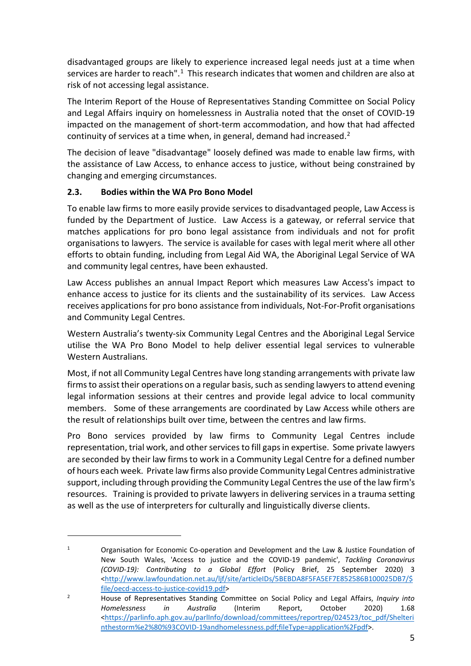disadvantaged groups are likely to experience increased legal needs just at a time when services are harder to reach".<sup>[1](#page-4-1)</sup> This research indicates that women and children are also at risk of not accessing legal assistance.

The Interim Report of the House of Representatives Standing Committee on Social Policy and Legal Affairs inquiry on homelessness in Australia noted that the onset of COVID-19 impacted on the management of short-term accommodation, and how that had affected continuity of services at a time when, in general, demand had increased.<sup>[2](#page-4-2)</sup>

The decision of leave "disadvantage" loosely defined was made to enable law firms, with the assistance of Law Access, to enhance access to justice, without being constrained by changing and emerging circumstances.

#### <span id="page-4-0"></span>**2.3. Bodies within the WA Pro Bono Model**

**.** 

To enable law firms to more easily provide services to disadvantaged people, Law Access is funded by the Department of Justice. Law Access is a gateway, or referral service that matches applications for pro bono legal assistance from individuals and not for profit organisations to lawyers. The service is available for cases with legal merit where all other efforts to obtain funding, including from Legal Aid WA, the Aboriginal Legal Service of WA and community legal centres, have been exhausted.

Law Access publishes an annual Impact Report which measures Law Access's impact to enhance access to justice for its clients and the sustainability of its services. Law Access receives applications for pro bono assistance from individuals, Not-For-Profit organisations and Community Legal Centres.

Western Australia's twenty-six Community Legal Centres and the Aboriginal Legal Service utilise the WA Pro Bono Model to help deliver essential legal services to vulnerable Western Australians.

Most, if not all Community Legal Centres have long standing arrangements with private law firms to assist their operations on a regular basis, such as sending lawyers to attend evening legal information sessions at their centres and provide legal advice to local community members. Some of these arrangements are coordinated by Law Access while others are the result of relationships built over time, between the centres and law firms.

Pro Bono services provided by law firms to Community Legal Centres include representation, trial work, and other services to fill gaps in expertise. Some private lawyers are seconded by their law firms to work in a Community Legal Centre for a defined number of hours each week. Private law firms also provide Community Legal Centres administrative support, including through providing the Community Legal Centres the use of the law firm's resources. Training is provided to private lawyers in delivering services in a trauma setting as well as the use of interpreters for culturally and linguistically diverse clients.

<span id="page-4-1"></span><sup>&</sup>lt;sup>1</sup> Organisation for Economic Co-operation and Development and the Law & Justice Foundation of New South Wales, 'Access to justice and the COVID-19 pandemic', *Tackling Coronavirus (COVID-19): Contributing to a Global Effort* (Policy Brief, 25 September 2020) 3 [<http://www.lawfoundation.net.au/ljf/site/articleIDs/5BEBDA8F5FA5EF7E852586B100025DB7/\\$](http://www.lawfoundation.net.au/ljf/site/articleIDs/5BEBDA8F5FA5EF7E852586B100025DB7/$file/oecd-access-to-justice-covid19.pdf) [file/oecd-access-to-justice-covid19.pdf>](http://www.lawfoundation.net.au/ljf/site/articleIDs/5BEBDA8F5FA5EF7E852586B100025DB7/$file/oecd-access-to-justice-covid19.pdf)

<span id="page-4-2"></span><sup>2</sup> House of Representatives Standing Committee on Social Policy and Legal Affairs, *Inquiry into Homelessness in Australia* (Interim Report, October 2020) 1.68 [<https://parlinfo.aph.gov.au/parlInfo/download/committees/reportrep/024523/toc\\_pdf/Shelteri](https://parlinfo.aph.gov.au/parlInfo/download/committees/reportrep/024523/toc_pdf/Shelterinthestorm%e2%80%93COVID-19andhomelessness.pdf;fileType=application%2Fpdf) [nthestorm%e2%80%93COVID-19andhomelessness.pdf;fileType=application%2Fpdf>](https://parlinfo.aph.gov.au/parlInfo/download/committees/reportrep/024523/toc_pdf/Shelterinthestorm%e2%80%93COVID-19andhomelessness.pdf;fileType=application%2Fpdf).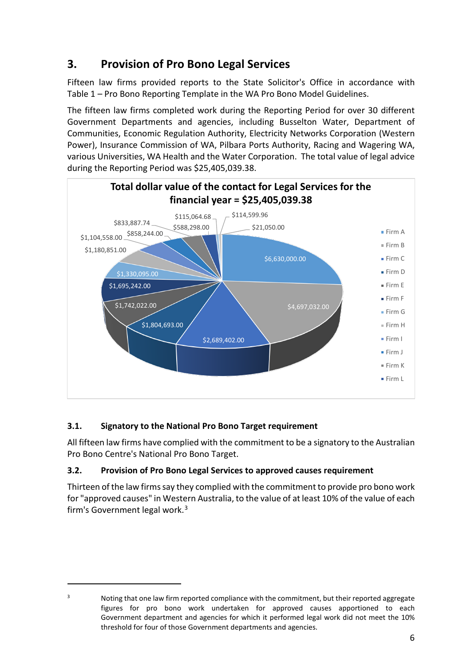# <span id="page-5-0"></span>**3. Provision of Pro Bono Legal Services**

Fifteen law firms provided reports to the State Solicitor's Office in accordance with Table 1 – Pro Bono Reporting Template in the WA Pro Bono Model Guidelines.

The fifteen law firms completed work during the Reporting Period for over 30 different Government Departments and agencies, including Busselton Water, Department of Communities, Economic Regulation Authority, Electricity Networks Corporation (Western Power), Insurance Commission of WA, Pilbara Ports Authority, Racing and Wagering WA, various Universities, WA Health and the Water Corporation. The total value of legal advice during the Reporting Period was \$25,405,039.38.



#### <span id="page-5-1"></span>**3.1. Signatory to the National Pro Bono Target requirement**

<u>.</u>

All fifteen law firms have complied with the commitment to be a signatory to the Australian Pro Bono Centre's National Pro Bono Target.

#### <span id="page-5-2"></span>**3.2. Provision of Pro Bono Legal Services to approved causes requirement**

Thirteen of the law firmssay they complied with the commitment to provide pro bono work for "approved causes" in Western Australia, to the value of at least 10% of the value of each firm's Government legal work. $3$ 

<span id="page-5-3"></span><sup>&</sup>lt;sup>3</sup> Noting that one law firm reported compliance with the commitment, but their reported aggregate figures for pro bono work undertaken for approved causes apportioned to each Government department and agencies for which it performed legal work did not meet the 10% threshold for four of those Government departments and agencies.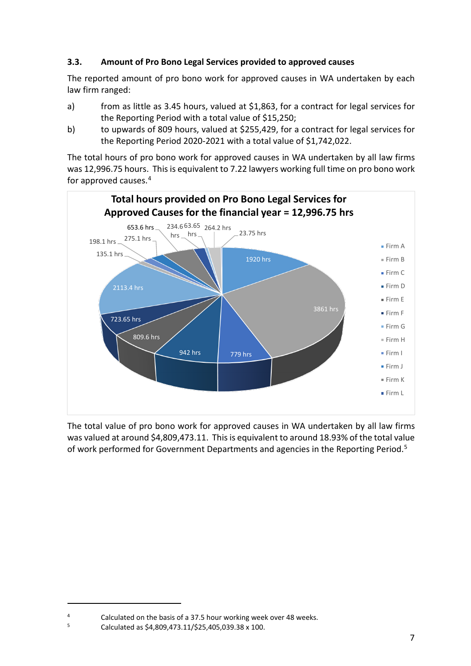#### <span id="page-6-0"></span>**3.3. Amount of Pro Bono Legal Services provided to approved causes**

The reported amount of pro bono work for approved causes in WA undertaken by each law firm ranged:

- a) from as little as 3.45 hours, valued at \$1,863, for a contract for legal services for the Reporting Period with a total value of \$15,250;
- b) to upwards of 809 hours, valued at \$255,429, for a contract for legal services for the Reporting Period 2020-2021 with a total value of \$1,742,022.

The total hours of pro bono work for approved causes in WA undertaken by all law firms was 12,996.75 hours. This is equivalent to 7.22 lawyers working full time on pro bono work for approved causes.[4](#page-6-1)



The total value of pro bono work for approved causes in WA undertaken by all law firms was valued at around \$4,809,473.11. This is equivalent to around 18.93% of the total value of work performed for Government Departments and agencies in the Reporting Period.<sup>[5](#page-6-2)</sup>

<span id="page-6-2"></span><span id="page-6-1"></span><sup>4</sup> Calculated on the basis of a 37.5 hour working week over 48 weeks.

<sup>5</sup> Calculated as \$4,809,473.11/\$25,405,039.38 x 100.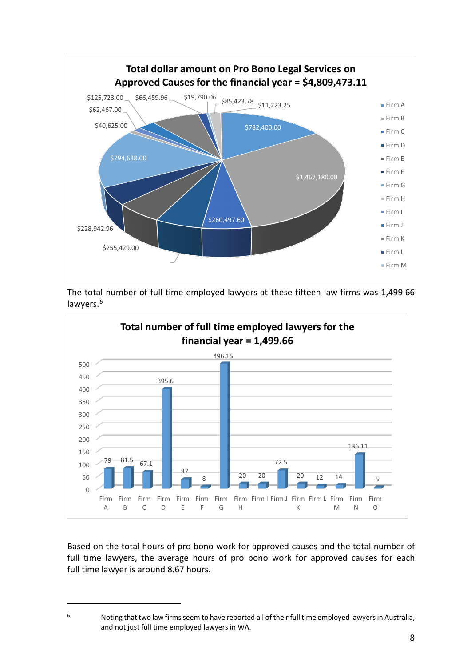

The total number of full time employed lawyers at these fifteen law firms was 1,499.66 lawyers.<sup>[6](#page-7-0)</sup>



Based on the total hours of pro bono work for approved causes and the total number of full time lawyers, the average hours of pro bono work for approved causes for each full time lawyer is around 8.67 hours.

<span id="page-7-0"></span><sup>6</sup> Noting that two law firms seem to have reported all of their full time employed lawyers in Australia, and not just full time employed lawyers in WA.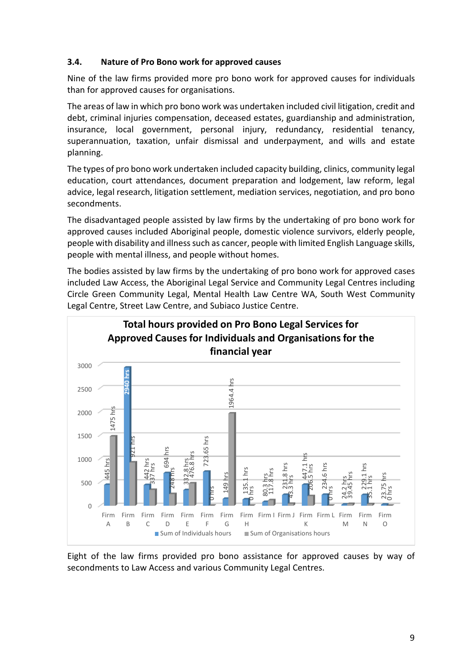#### <span id="page-8-0"></span>**3.4. Nature of Pro Bono work for approved causes**

Nine of the law firms provided more pro bono work for approved causes for individuals than for approved causes for organisations.

The areas of law in which pro bono work was undertaken included civil litigation, credit and debt, criminal injuries compensation, deceased estates, guardianship and administration, insurance, local government, personal injury, redundancy, residential tenancy, superannuation, taxation, unfair dismissal and underpayment, and wills and estate planning.

The types of pro bono work undertaken included capacity building, clinics, community legal education, court attendances, document preparation and lodgement, law reform, legal advice, legal research, litigation settlement, mediation services, negotiation, and pro bono secondments.

The disadvantaged people assisted by law firms by the undertaking of pro bono work for approved causes included Aboriginal people, domestic violence survivors, elderly people, people with disability and illness such as cancer, people with limited English Language skills, people with mental illness, and people without homes.

The bodies assisted by law firms by the undertaking of pro bono work for approved cases included Law Access, the Aboriginal Legal Service and Community Legal Centres including Circle Green Community Legal, Mental Health Law Centre WA, South West Community Legal Centre, Street Law Centre, and Subiaco Justice Centre.



Eight of the law firms provided pro bono assistance for approved causes by way of secondments to Law Access and various Community Legal Centres.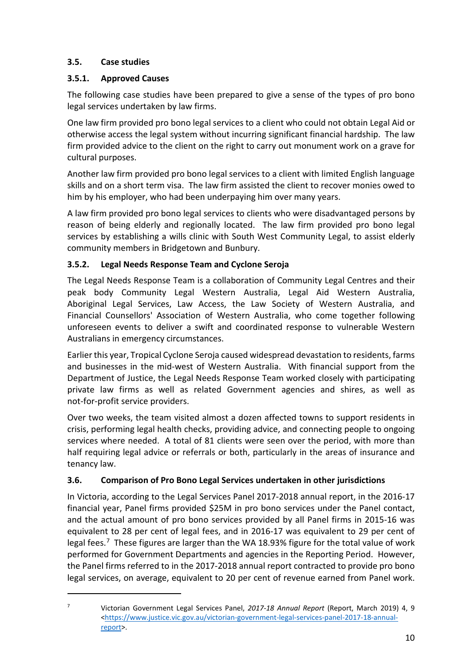#### <span id="page-9-0"></span>**3.5. Case studies**

#### <span id="page-9-1"></span>**3.5.1. Approved Causes**

The following case studies have been prepared to give a sense of the types of pro bono legal services undertaken by law firms.

One law firm provided pro bono legal services to a client who could not obtain Legal Aid or otherwise access the legal system without incurring significant financial hardship. The law firm provided advice to the client on the right to carry out monument work on a grave for cultural purposes.

Another law firm provided pro bono legal services to a client with limited English language skills and on a short term visa. The law firm assisted the client to recover monies owed to him by his employer, who had been underpaying him over many years.

A law firm provided pro bono legal services to clients who were disadvantaged persons by reason of being elderly and regionally located. The law firm provided pro bono legal services by establishing a wills clinic with South West Community Legal, to assist elderly community members in Bridgetown and Bunbury.

#### <span id="page-9-2"></span>**3.5.2. Legal Needs Response Team and Cyclone Seroja**

The Legal Needs Response Team is a collaboration of Community Legal Centres and their peak body Community Legal Western Australia, Legal Aid Western Australia, Aboriginal Legal Services, Law Access, the Law Society of Western Australia, and Financial Counsellors' Association of Western Australia, who come together following unforeseen events to deliver a swift and coordinated response to vulnerable Western Australians in emergency circumstances.

Earlier this year, Tropical Cyclone Seroja caused widespread devastation to residents, farms and businesses in the mid-west of Western Australia. With financial support from the Department of Justice, the Legal Needs Response Team worked closely with participating private law firms as well as related Government agencies and shires, as well as not-for-profit service providers.

Over two weeks, the team visited almost a dozen affected towns to support residents in crisis, performing legal health checks, providing advice, and connecting people to ongoing services where needed. A total of 81 clients were seen over the period, with more than half requiring legal advice or referrals or both, particularly in the areas of insurance and tenancy law.

#### <span id="page-9-3"></span>**3.6. Comparison of Pro Bono Legal Services undertaken in other jurisdictions**

In Victoria, according to the Legal Services Panel 2017-2018 annual report, in the 2016-17 financial year, Panel firms provided \$25M in pro bono services under the Panel contact, and the actual amount of pro bono services provided by all Panel firms in 2015-16 was equivalent to 28 per cent of legal fees, and in 2016-17 was equivalent to 29 per cent of legal fees.<sup>7</sup> These figures are larger than the WA 18.93% figure for the total value of work performed for Government Departments and agencies in the Reporting Period. However, the Panel firms referred to in the 2017-2018 annual report contracted to provide pro bono legal services, on average, equivalent to 20 per cent of revenue earned from Panel work.

<span id="page-9-4"></span>

<sup>7</sup> Victorian Government Legal Services Panel, *2017-18 Annual Report* (Report, March 2019) 4, 9 [<https://www.justice.vic.gov.au/victorian-government-legal-services-panel-2017-18-annual](https://www.justice.vic.gov.au/victorian-government-legal-services-panel-2017-18-annual-report)[report>](https://www.justice.vic.gov.au/victorian-government-legal-services-panel-2017-18-annual-report).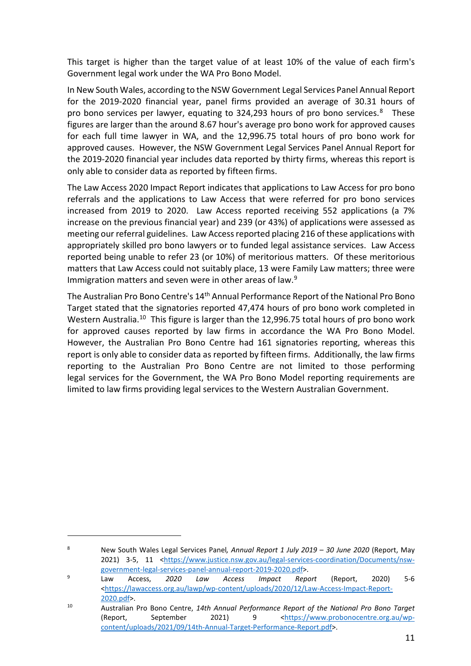This target is higher than the target value of at least 10% of the value of each firm's Government legal work under the WA Pro Bono Model.

In New South Wales, according to the NSW Government Legal Services Panel Annual Report for the 2019-2020 financial year, panel firms provided an average of 30.31 hours of pro bono services per lawyer, equating to  $324,293$  hours of pro bono services.<sup>[8](#page-10-0)</sup> These figures are larger than the around 8.67 hour's average pro bono work for approved causes for each full time lawyer in WA, and the 12,996.75 total hours of pro bono work for approved causes. However, the NSW Government Legal Services Panel Annual Report for the 2019-2020 financial year includes data reported by thirty firms, whereas this report is only able to consider data as reported by fifteen firms.

The Law Access 2020 Impact Report indicates that applications to Law Access for pro bono referrals and the applications to Law Access that were referred for pro bono services increased from 2019 to 2020. Law Access reported receiving 552 applications (a 7% increase on the previous financial year) and 239 (or 43%) of applications were assessed as meeting our referral guidelines. Law Access reported placing 216 of these applications with appropriately skilled pro bono lawyers or to funded legal assistance services. Law Access reported being unable to refer 23 (or 10%) of meritorious matters. Of these meritorious matters that Law Access could not suitably place, 13 were Family Law matters; three were Immigration matters and seven were in other areas of law. [9](#page-10-1)

The Australian Pro Bono Centre's 14<sup>th</sup> Annual Performance Report of the National Pro Bono Target stated that the signatories reported 47,474 hours of pro bono work completed in Western Australia.<sup>10</sup> This figure is larger than the 12,996.75 total hours of pro bono work for approved causes reported by law firms in accordance the WA Pro Bono Model. However, the Australian Pro Bono Centre had 161 signatories reporting, whereas this report is only able to consider data as reported by fifteen firms. Additionally, the law firms reporting to the Australian Pro Bono Centre are not limited to those performing legal services for the Government, the WA Pro Bono Model reporting requirements are limited to law firms providing legal services to the Western Australian Government.

<span id="page-10-0"></span><sup>8</sup> New South Wales Legal Services Panel*, Annual Report 1 July 2019 – 30 June 2020* (Report, May 2021) 3-5, 11 [<https://www.justice.nsw.gov.au/legal-services-coordination/Documents/nsw](https://www.justice.nsw.gov.au/legal-services-coordination/Documents/nsw-government-legal-services-panel-annual-report-2019-2020.pdf)[government-legal-services-panel-annual-report-2019-2020.pdf>](https://www.justice.nsw.gov.au/legal-services-coordination/Documents/nsw-government-legal-services-panel-annual-report-2019-2020.pdf).

<span id="page-10-1"></span><sup>9</sup> Law Access, *2020 Law Access Impact Report* (Report, 2020) 5-6 [<https://lawaccess.org.au/lawp/wp-content/uploads/2020/12/Law-Access-Impact-Report-](https://lawaccess.org.au/lawp/wp-content/uploads/2020/12/Law-Access-Impact-Report-2020.pdf)[2020.pdf>](https://lawaccess.org.au/lawp/wp-content/uploads/2020/12/Law-Access-Impact-Report-2020.pdf).

<span id="page-10-2"></span><sup>10</sup> Australian Pro Bono Centre, *14th Annual Performance Report of the National Pro Bono Target* (Report, September 2021) 9 [<https://www.probonocentre.org.au/wp](https://www.probonocentre.org.au/wp-content/uploads/2021/09/14th-Annual-Target-Performance-Report.pdf)[content/uploads/2021/09/14th-Annual-Target-Performance-Report.pdf>](https://www.probonocentre.org.au/wp-content/uploads/2021/09/14th-Annual-Target-Performance-Report.pdf).